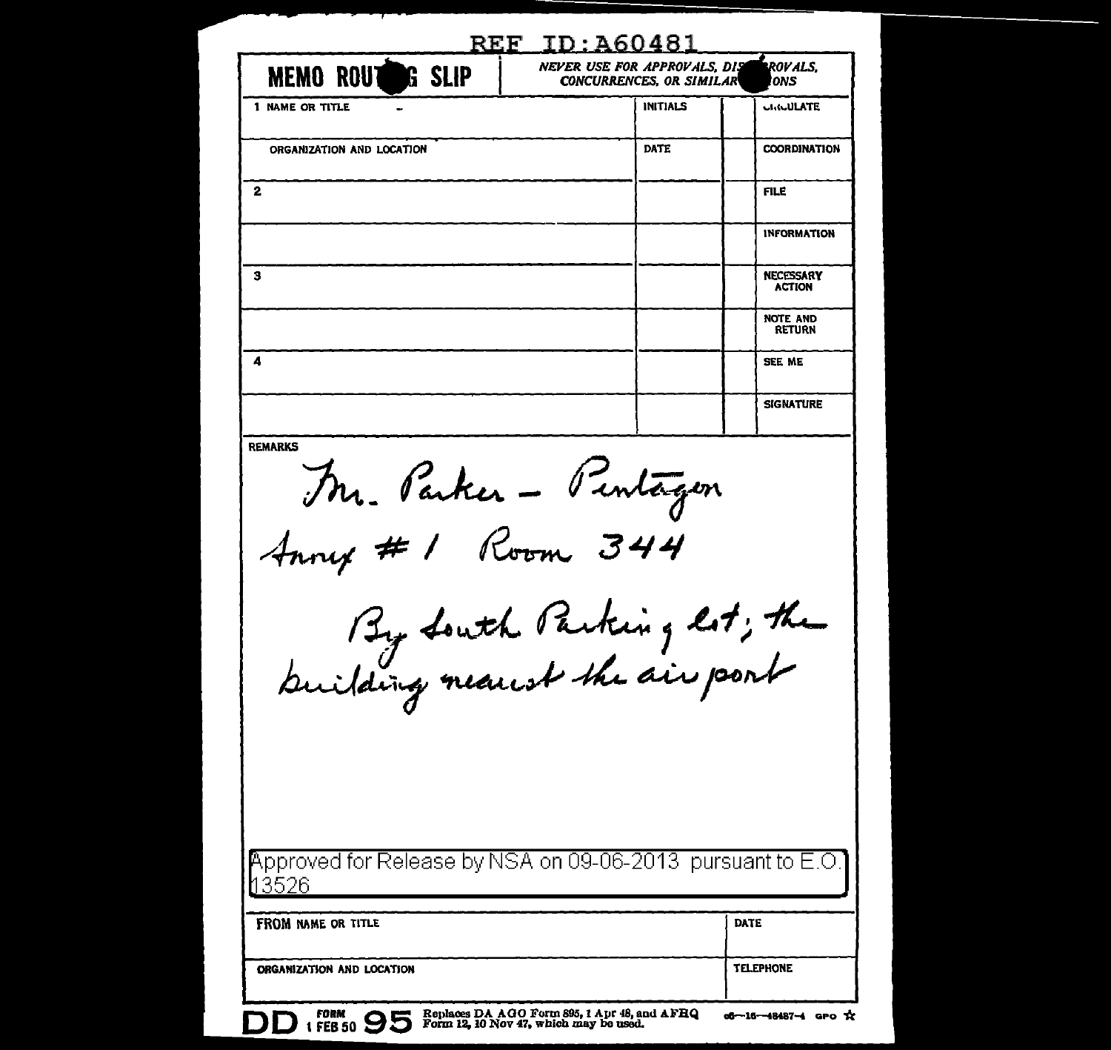| <b>MEMO ROUTEDG SLIP</b>                                           | NEVER USE FOR APPROVALS, DIS<br>CONCURRENCES, OR SIMILAR | ROVALS.<br>'ONS                  |
|--------------------------------------------------------------------|----------------------------------------------------------|----------------------------------|
| 1 NAME OR TITLE                                                    | <b>INITIALS</b>                                          | <b>CHACULATE</b>                 |
| ORGANIZATION AND LOCATION                                          | DATE                                                     | <b>COORDINATION</b>              |
| 2                                                                  |                                                          | FILE                             |
|                                                                    |                                                          | <b>INFORMATION</b>               |
| з                                                                  |                                                          | NECESSARY<br><b>ACTION</b>       |
|                                                                    |                                                          | <b>NOTE AND</b><br><b>RETURN</b> |
| 4                                                                  |                                                          | SEE ME                           |
|                                                                    |                                                          | <b>SIGNATURE</b>                 |
| <b>REMARKS</b><br>Mr. Parker - Pentagen<br>Anny # 1 Room 344       |                                                          |                                  |
| By South Parking lot; the                                          |                                                          |                                  |
| Approved for Release by NSA on 09-06-2013 pursuant to E.O.<br>3526 |                                                          |                                  |
| FROM NAME OR TITLE                                                 |                                                          | DATE                             |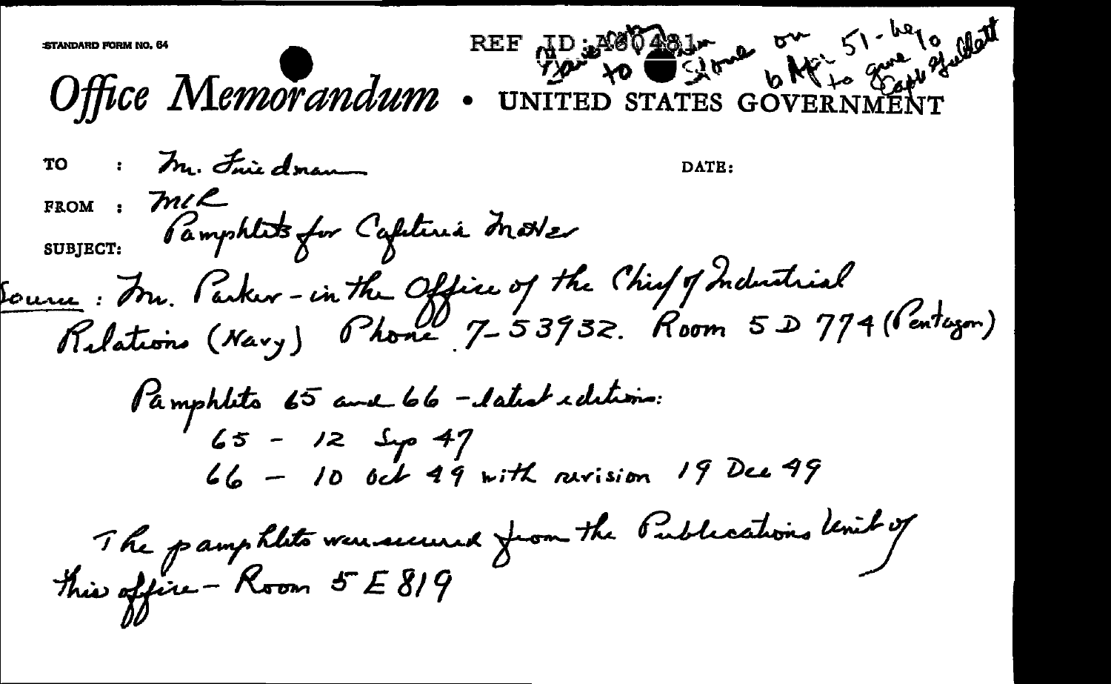REF TD: MOODLAND DWG 51-6210 Mat Office Memorandum TO : Mr. Friedmann DATE: FROM: M/L<br>SUBJECT: Pamphlits for Capitinia Motter Source: Fr. Parker-in the Office of the Chief of Industrial<br>Relations (Navy) Phone 7-53932. Room 5 D 774 (Pertezon) Pamphlito 65 avril 66 - latest idetions:<br>65 - 12 Sep 47  $66 - 10$  oct 49 with revision 19 Dec 49 The pamphlits were secured from the Publications Unit of